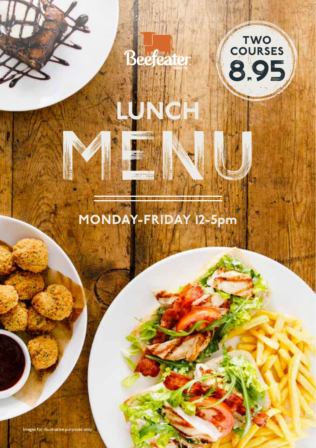

LUNCH

MENU



# MONDAY-FRIDAY 12-5pm

Images for illustrative purposes only